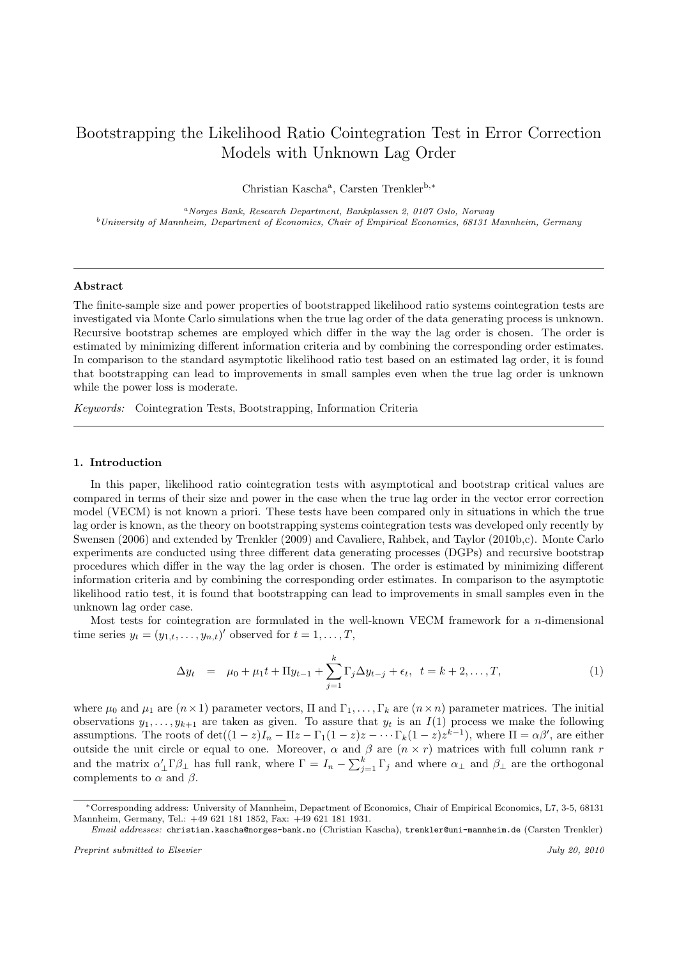# Bootstrapping the Likelihood Ratio Cointegration Test in Error Correction Models with Unknown Lag Order

Christian Kascha<sup>a</sup>, Carsten Trenkler<sup>b,\*</sup>

 $a<sup>a</sup> N$ orges Bank, Research Department, Bankplassen 2, 0107 Oslo, Norway <sup>b</sup>University of Mannheim, Department of Economics, Chair of Empirical Economics, 68131 Mannheim, Germany

#### Abstract

The finite-sample size and power properties of bootstrapped likelihood ratio systems cointegration tests are investigated via Monte Carlo simulations when the true lag order of the data generating process is unknown. Recursive bootstrap schemes are employed which differ in the way the lag order is chosen. The order is estimated by minimizing different information criteria and by combining the corresponding order estimates. In comparison to the standard asymptotic likelihood ratio test based on an estimated lag order, it is found that bootstrapping can lead to improvements in small samples even when the true lag order is unknown while the power loss is moderate.

Keywords: Cointegration Tests, Bootstrapping, Information Criteria

## 1. Introduction

In this paper, likelihood ratio cointegration tests with asymptotical and bootstrap critical values are compared in terms of their size and power in the case when the true lag order in the vector error correction model (VECM) is not known a priori. These tests have been compared only in situations in which the true lag order is known, as the theory on bootstrapping systems cointegration tests was developed only recently by Swensen (2006) and extended by Trenkler (2009) and Cavaliere, Rahbek, and Taylor (2010b,c). Monte Carlo experiments are conducted using three different data generating processes (DGPs) and recursive bootstrap procedures which differ in the way the lag order is chosen. The order is estimated by minimizing different information criteria and by combining the corresponding order estimates. In comparison to the asymptotic likelihood ratio test, it is found that bootstrapping can lead to improvements in small samples even in the unknown lag order case.

Most tests for cointegration are formulated in the well-known VECM framework for a  $n$ -dimensional time series  $y_t = (y_{1,t}, \ldots, y_{n,t})'$  observed for  $t = 1, \ldots, T$ ,

$$
\Delta y_t = \mu_0 + \mu_1 t + \Pi y_{t-1} + \sum_{j=1}^k \Gamma_j \Delta y_{t-j} + \epsilon_t, \ t = k+2, ..., T,
$$
 (1)

where  $\mu_0$  and  $\mu_1$  are  $(n \times 1)$  parameter vectors,  $\Pi$  and  $\Gamma_1, \ldots, \Gamma_k$  are  $(n \times n)$  parameter matrices. The initial observations  $y_1, \ldots, y_{k+1}$  are taken as given. To assure that  $y_t$  is an  $I(1)$  process we make the following assumptions. The roots of  $\det((1-z)I_n - \Pi z - \Gamma_1(1-z)z - \cdots \Gamma_k(1-z)z^{k-1})$ , where  $\Pi = \alpha\beta'$ , are either outside the unit circle or equal to one. Moreover,  $\alpha$  and  $\beta$  are  $(n \times r)$  matrices with full column rank r but the matrix  $\alpha'_{\perp} \Gamma \beta_{\perp}$  has full rank, where  $\Gamma = I_n - \sum_{j=1}^k \Gamma_j$  and where  $\alpha_{\perp}$  and  $\beta_{\perp}$  are the orthogonal complements to  $\alpha$  and  $\beta$ .

<sup>∗</sup>Corresponding address: University of Mannheim, Department of Economics, Chair of Empirical Economics, L7, 3-5, 68131 Mannheim, Germany, Tel.: +49 621 181 1852, Fax: +49 621 181 1931.

Email addresses: christian.kascha@norges-bank.no (Christian Kascha), trenkler@uni-mannheim.de (Carsten Trenkler)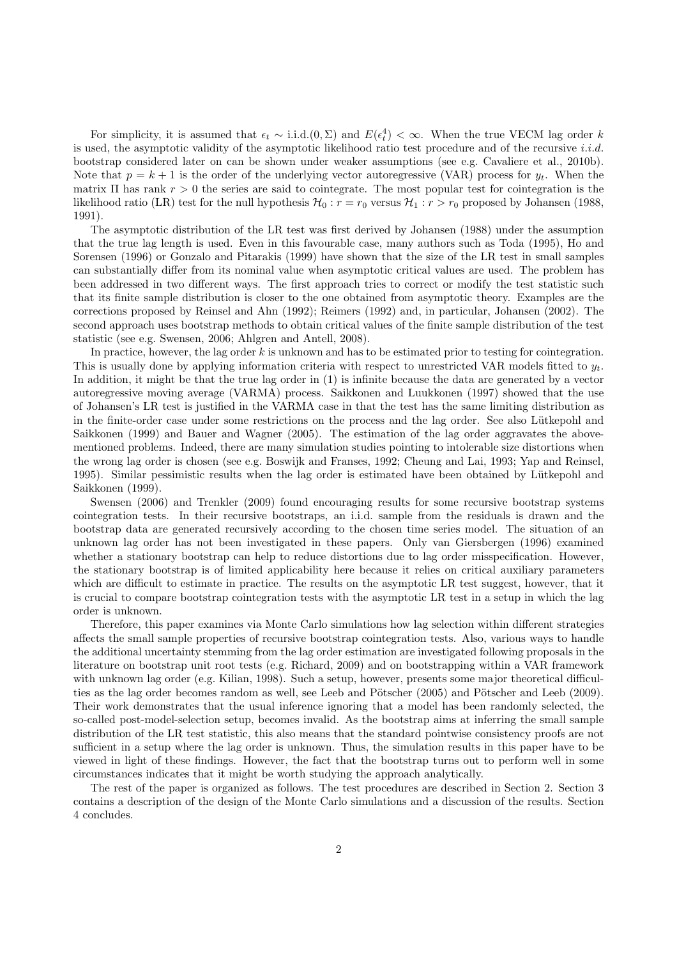For simplicity, it is assumed that  $\epsilon_t \sim i.i.d.(0, \Sigma)$  and  $E(\epsilon_t^4) < \infty$ . When the true VECM lag order k is used, the asymptotic validity of the asymptotic likelihood ratio test procedure and of the recursive i.i.d. bootstrap considered later on can be shown under weaker assumptions (see e.g. Cavaliere et al., 2010b). Note that  $p = k + 1$  is the order of the underlying vector autoregressive (VAR) process for  $y_t$ . When the matrix  $\Pi$  has rank  $r > 0$  the series are said to cointegrate. The most popular test for cointegration is the likelihood ratio (LR) test for the null hypothesis  $\mathcal{H}_0 : r = r_0$  versus  $\mathcal{H}_1 : r > r_0$  proposed by Johansen (1988, 1991).

The asymptotic distribution of the LR test was first derived by Johansen (1988) under the assumption that the true lag length is used. Even in this favourable case, many authors such as Toda (1995), Ho and Sorensen (1996) or Gonzalo and Pitarakis (1999) have shown that the size of the LR test in small samples can substantially differ from its nominal value when asymptotic critical values are used. The problem has been addressed in two different ways. The first approach tries to correct or modify the test statistic such that its finite sample distribution is closer to the one obtained from asymptotic theory. Examples are the corrections proposed by Reinsel and Ahn (1992); Reimers (1992) and, in particular, Johansen (2002). The second approach uses bootstrap methods to obtain critical values of the finite sample distribution of the test statistic (see e.g. Swensen, 2006; Ahlgren and Antell, 2008).

In practice, however, the lag order  $k$  is unknown and has to be estimated prior to testing for cointegration. This is usually done by applying information criteria with respect to unrestricted VAR models fitted to  $y_t$ . In addition, it might be that the true lag order in (1) is infinite because the data are generated by a vector autoregressive moving average (VARMA) process. Saikkonen and Luukkonen (1997) showed that the use of Johansen's LR test is justified in the VARMA case in that the test has the same limiting distribution as in the finite-order case under some restrictions on the process and the lag order. See also Lütkepohl and Saikkonen (1999) and Bauer and Wagner (2005). The estimation of the lag order aggravates the abovementioned problems. Indeed, there are many simulation studies pointing to intolerable size distortions when the wrong lag order is chosen (see e.g. Boswijk and Franses, 1992; Cheung and Lai, 1993; Yap and Reinsel, 1995). Similar pessimistic results when the lag order is estimated have been obtained by Lütkepohl and Saikkonen (1999).

Swensen (2006) and Trenkler (2009) found encouraging results for some recursive bootstrap systems cointegration tests. In their recursive bootstraps, an i.i.d. sample from the residuals is drawn and the bootstrap data are generated recursively according to the chosen time series model. The situation of an unknown lag order has not been investigated in these papers. Only van Giersbergen (1996) examined whether a stationary bootstrap can help to reduce distortions due to lag order misspecification. However, the stationary bootstrap is of limited applicability here because it relies on critical auxiliary parameters which are difficult to estimate in practice. The results on the asymptotic LR test suggest, however, that it is crucial to compare bootstrap cointegration tests with the asymptotic LR test in a setup in which the lag order is unknown.

Therefore, this paper examines via Monte Carlo simulations how lag selection within different strategies affects the small sample properties of recursive bootstrap cointegration tests. Also, various ways to handle the additional uncertainty stemming from the lag order estimation are investigated following proposals in the literature on bootstrap unit root tests (e.g. Richard, 2009) and on bootstrapping within a VAR framework with unknown lag order (e.g. Kilian, 1998). Such a setup, however, presents some major theoretical difficulties as the lag order becomes random as well, see Leeb and Pötscher (2005) and Pötscher and Leeb (2009). Their work demonstrates that the usual inference ignoring that a model has been randomly selected, the so-called post-model-selection setup, becomes invalid. As the bootstrap aims at inferring the small sample distribution of the LR test statistic, this also means that the standard pointwise consistency proofs are not sufficient in a setup where the lag order is unknown. Thus, the simulation results in this paper have to be viewed in light of these findings. However, the fact that the bootstrap turns out to perform well in some circumstances indicates that it might be worth studying the approach analytically.

The rest of the paper is organized as follows. The test procedures are described in Section 2. Section 3 contains a description of the design of the Monte Carlo simulations and a discussion of the results. Section 4 concludes.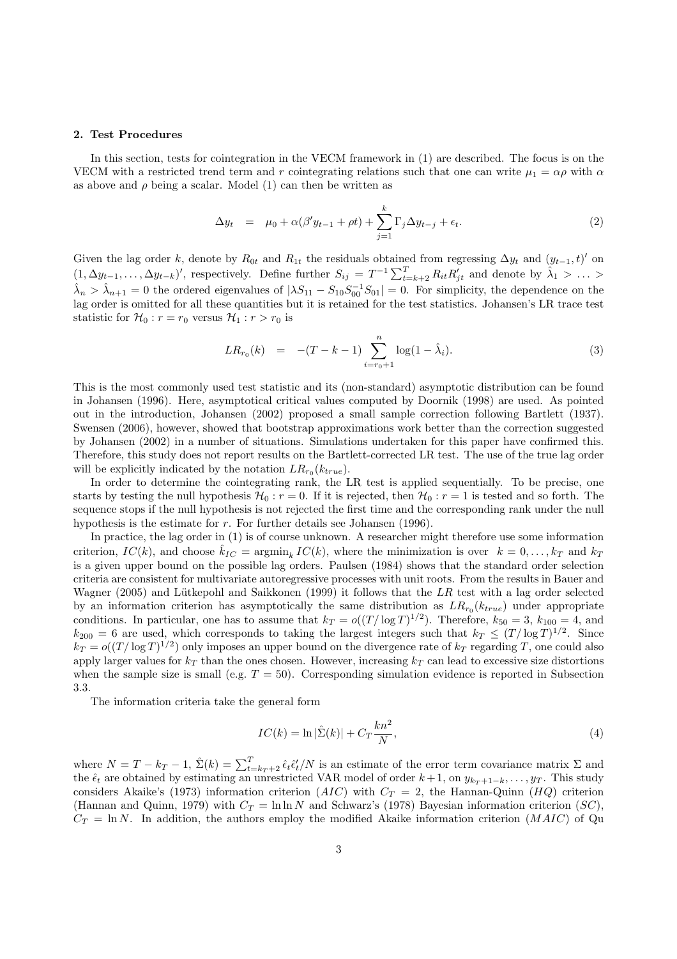## 2. Test Procedures

In this section, tests for cointegration in the VECM framework in (1) are described. The focus is on the VECM with a restricted trend term and r cointegrating relations such that one can write  $\mu_1 = \alpha \rho$  with  $\alpha$ as above and  $\rho$  being a scalar. Model (1) can then be written as

$$
\Delta y_t = \mu_0 + \alpha(\beta' y_{t-1} + \rho t) + \sum_{j=1}^k \Gamma_j \Delta y_{t-j} + \epsilon_t.
$$
\n(2)

Given the lag order k, denote by  $R_{0t}$  and  $R_{1t}$  the residuals obtained from regressing  $\Delta y_t$  and  $(y_{t-1}, t)'$  on Given the lag order  $\kappa$ , denote by  $H_0$  and  $H_1$  the residuals obtained from regressing  $\Delta y_t$  and  $(y_{t-1}, t)$  on  $(1, \Delta y_{t-1}, \ldots, \Delta y_{t-k})'$ , respectively. Define further  $S_{ij} = T^{-1} \sum_{t=k+2}^T R_{it} R'_{jt}$  and denote by  $\hat$  $\hat{\lambda}_n > \hat{\lambda}_{n+1} = 0$  the ordered eigenvalues of  $|\lambda S_{11} - S_{10} S_{00}^{-1} S_{01}| = 0$ . For simplicity, the dependence on the lag order is omitted for all these quantities but it is retained for the test statistics. Johansen's LR trace test statistic for  $\mathcal{H}_0$ :  $r = r_0$  versus  $\mathcal{H}_1$ :  $r > r_0$  is

$$
LR_{r_0}(k) = -(T - k - 1) \sum_{i=r_0+1}^{n} \log(1 - \hat{\lambda}_i).
$$
 (3)

This is the most commonly used test statistic and its (non-standard) asymptotic distribution can be found in Johansen (1996). Here, asymptotical critical values computed by Doornik (1998) are used. As pointed out in the introduction, Johansen (2002) proposed a small sample correction following Bartlett (1937). Swensen (2006), however, showed that bootstrap approximations work better than the correction suggested by Johansen (2002) in a number of situations. Simulations undertaken for this paper have confirmed this. Therefore, this study does not report results on the Bartlett-corrected LR test. The use of the true lag order will be explicitly indicated by the notation  $LR_{r_0}(k_{true})$ .

In order to determine the cointegrating rank, the LR test is applied sequentially. To be precise, one starts by testing the null hypothesis  $\mathcal{H}_0 : r = 0$ . If it is rejected, then  $\mathcal{H}_0 : r = 1$  is tested and so forth. The sequence stops if the null hypothesis is not rejected the first time and the corresponding rank under the null hypothesis is the estimate for r. For further details see Johansen (1996).

In practice, the lag order in (1) is of course unknown. A researcher might therefore use some information criterion,  $IC(k)$ , and choose  $\hat{k}_{IC} = \operatorname{argmin}_{k} IC(k)$ , where the minimization is over  $k = 0, \ldots, k_T$  and  $k_T$ is a given upper bound on the possible lag orders. Paulsen (1984) shows that the standard order selection criteria are consistent for multivariate autoregressive processes with unit roots. From the results in Bauer and Wagner (2005) and Lütkepohl and Saikkonen (1999) it follows that the  $LR$  test with a lag order selected by an information criterion has asymptotically the same distribution as  $LR_{r_0}(k_{true})$  under appropriate conditions. In particular, one has to assume that  $k_T = o((T/\log T)^{1/2})$ . Therefore,  $k_{50} = 3$ ,  $k_{100} = 4$ , and  $k_{200} = 6$  are used, which corresponds to taking the largest integers such that  $k_T \leq (T/\log T)^{1/2}$ . Since  $k_T = o((T/\log T)^{1/2})$  only imposes an upper bound on the divergence rate of  $k_T$  regarding T, one could also apply larger values for  $k_T$  than the ones chosen. However, increasing  $k_T$  can lead to excessive size distortions when the sample size is small (e.g.  $T = 50$ ). Corresponding simulation evidence is reported in Subsection 3.3.

The information criteria take the general form

$$
IC(k) = \ln|\hat{\Sigma}(k)| + C_T \frac{k n^2}{N},\tag{4}
$$

where  $N = T - k_T - 1$ ,  $\hat{\Sigma}(k) = \sum_{t=k_T+2}^{T} \hat{\epsilon}_t \hat{\epsilon}'_t / N$  is an estimate of the error term covariance matrix  $\Sigma$  and the  $\hat{\epsilon}_t$  are obtained by estimating an unrestricted VAR model of order  $k+1$ , on  $y_{k+1-k}, \ldots, y_T$ . This study considers Akaike's (1973) information criterion (AIC) with  $C_T = 2$ , the Hannan-Quinn (HQ) criterion (Hannan and Quinn, 1979) with  $C_T = \ln \ln N$  and Schwarz's (1978) Bayesian information criterion (SC),  $C_T = \ln N$ . In addition, the authors employ the modified Akaike information criterion (MAIC) of Qu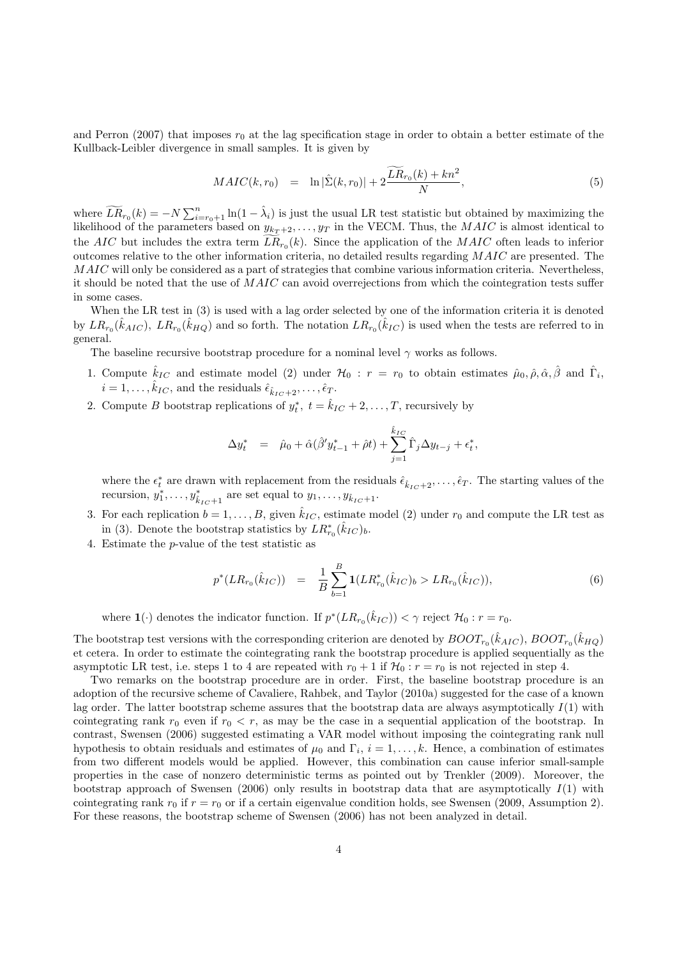and Perron (2007) that imposes  $r_0$  at the lag specification stage in order to obtain a better estimate of the Kullback-Leibler divergence in small samples. It is given by

$$
MAIC(k, r_0) = \ln|\hat{\Sigma}(k, r_0)| + 2\frac{\widetilde{LR}_{r_0}(k) + kn^2}{N}, \tag{5}
$$

where  $\widetilde{LR}_{r_0}(k) = -N \sum_{i=r_0+1}^{n} \ln(1-\hat{\lambda}_i)$  is just the usual LR test statistic but obtained by maximizing the likelihood of the parameters based on  $y_{k_T+2}, \ldots, y_T$  in the VECM. Thus, the MAIC is almost identical to the AIC but includes the extra term  $\widetilde{LR}_{r_0}(k)$ . Since the application of the MAIC often leads to inferior outcomes relative to the other information criteria, no detailed results regarding MAIC are presented. The MAIC will only be considered as a part of strategies that combine various information criteria. Nevertheless, it should be noted that the use of  $M AIC$  can avoid overrejections from which the cointegration tests suffer in some cases.

When the LR test in (3) is used with a lag order selected by one of the information criteria it is denoted by  $LR_{r_0}(\hat{k}_{AIC})$ ,  $LR_{r_0}(\hat{k}_{HQ})$  and so forth. The notation  $LR_{r_0}(\hat{k}_{IC})$  is used when the tests are referred to in general.

The baseline recursive bootstrap procedure for a nominal level  $\gamma$  works as follows.

- 1. Compute  $\hat{k}_{IC}$  and estimate model (2) under  $\mathcal{H}_0$ :  $r = r_0$  to obtain estimates  $\hat{\mu}_0, \hat{\rho}, \hat{\alpha}, \hat{\beta}$  and  $\hat{\Gamma}_i$ ,  $i = 1, \ldots, \hat{k}_{IC}$ , and the residuals  $\hat{\epsilon}_{\hat{k}_{IC}+2}, \ldots, \hat{\epsilon}_{T}$ .
- 2. Compute B bootstrap replications of  $y_t^*, t = \hat{k}_{IC} + 2, \ldots, T$ , recursively by

$$
\Delta y_t^* \quad = \quad \hat{\mu}_0 + \hat{\alpha} (\hat{\beta}' y_{t-1}^* + \hat{\rho} t) + \sum_{j=1}^{\hat{k}_{IC}} \hat{\Gamma}_j \Delta y_{t-j} + \epsilon_t^*,
$$

where the  $\epsilon_t^*$  are drawn with replacement from the residuals  $\hat{\epsilon}_{\hat{k}_{IC}+2},\ldots,\hat{\epsilon}_T$ . The starting values of the recursion,  $y_1^*, \ldots, y_{\hat{k}_{IC}+1}^*$  are set equal to  $y_1, \ldots, y_{\hat{k}_{IC}+1}$ .

- 3. For each replication  $b = 1, ..., B$ , given  $\hat{k}_{IC}$ , estimate model (2) under  $r_0$  and compute the LR test as in (3). Denote the bootstrap statistics by  $LR_{r_0}^*(\hat{k}_{IC})_b$ .
- 4. Estimate the p-value of the test statistic as

$$
p^*(LR_{r_0}(\hat{k}_{IC})) = \frac{1}{B} \sum_{b=1}^{B} \mathbf{1}(LR_{r_0}^*(\hat{k}_{IC})_b > LR_{r_0}(\hat{k}_{IC})),
$$
\n(6)

where  $\mathbf{1}(\cdot)$  denotes the indicator function. If  $p^*(LR_{r_0}(\hat{k}_{IC})) < \gamma$  reject  $\mathcal{H}_0 : r = r_0$ .

The bootstrap test versions with the corresponding criterion are denoted by  $BOOT_{r_0}(\hat{k}_{AIC})$ ,  $BOOT_{r_0}(\hat{k}_{HQ})$ et cetera. In order to estimate the cointegrating rank the bootstrap procedure is applied sequentially as the asymptotic LR test, i.e. steps 1 to 4 are repeated with  $r_0 + 1$  if  $\mathcal{H}_0 : r = r_0$  is not rejected in step 4.

Two remarks on the bootstrap procedure are in order. First, the baseline bootstrap procedure is an adoption of the recursive scheme of Cavaliere, Rahbek, and Taylor (2010a) suggested for the case of a known lag order. The latter bootstrap scheme assures that the bootstrap data are always asymptotically  $I(1)$  with cointegrating rank  $r_0$  even if  $r_0 < r$ , as may be the case in a sequential application of the bootstrap. In contrast, Swensen (2006) suggested estimating a VAR model without imposing the cointegrating rank null hypothesis to obtain residuals and estimates of  $\mu_0$  and  $\Gamma_i$ ,  $i = 1, \ldots, k$ . Hence, a combination of estimates from two different models would be applied. However, this combination can cause inferior small-sample properties in the case of nonzero deterministic terms as pointed out by Trenkler (2009). Moreover, the bootstrap approach of Swensen (2006) only results in bootstrap data that are asymptotically  $I(1)$  with cointegrating rank  $r_0$  if  $r = r_0$  or if a certain eigenvalue condition holds, see Swensen (2009, Assumption 2). For these reasons, the bootstrap scheme of Swensen (2006) has not been analyzed in detail.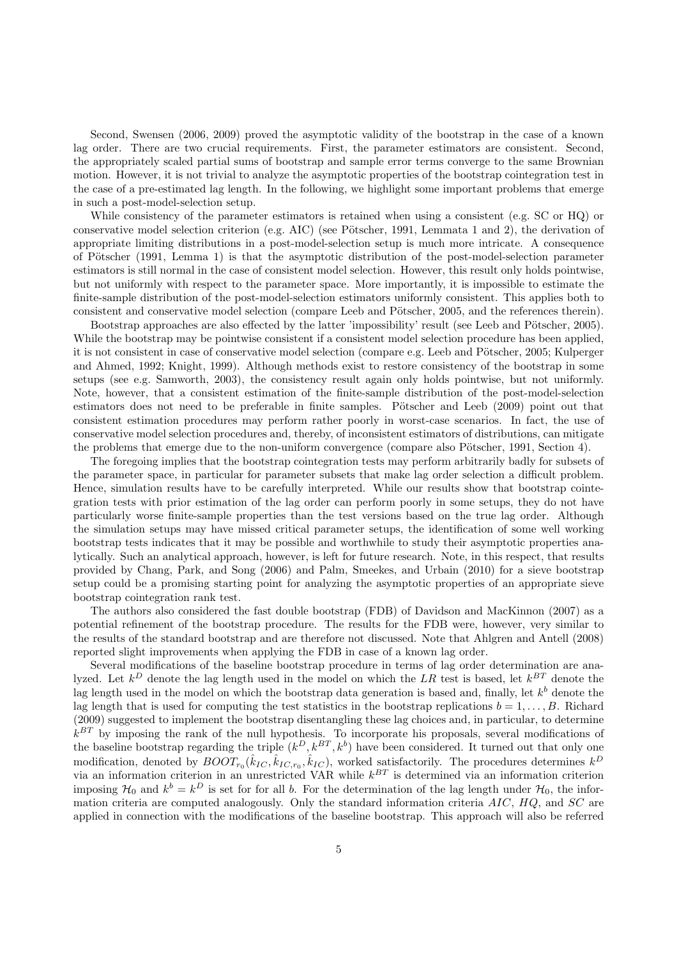Second, Swensen (2006, 2009) proved the asymptotic validity of the bootstrap in the case of a known lag order. There are two crucial requirements. First, the parameter estimators are consistent. Second, the appropriately scaled partial sums of bootstrap and sample error terms converge to the same Brownian motion. However, it is not trivial to analyze the asymptotic properties of the bootstrap cointegration test in the case of a pre-estimated lag length. In the following, we highlight some important problems that emerge in such a post-model-selection setup.

While consistency of the parameter estimators is retained when using a consistent (e.g. SC or HQ) or conservative model selection criterion (e.g. AIC) (see Pötscher, 1991, Lemmata 1 and 2), the derivation of appropriate limiting distributions in a post-model-selection setup is much more intricate. A consequence of Pötscher (1991, Lemma 1) is that the asymptotic distribution of the post-model-selection parameter estimators is still normal in the case of consistent model selection. However, this result only holds pointwise, but not uniformly with respect to the parameter space. More importantly, it is impossible to estimate the finite-sample distribution of the post-model-selection estimators uniformly consistent. This applies both to consistent and conservative model selection (compare Leeb and Pötscher, 2005, and the references therein).

Bootstrap approaches are also effected by the latter 'impossibility' result (see Leeb and Pötscher, 2005). While the bootstrap may be pointwise consistent if a consistent model selection procedure has been applied, it is not consistent in case of conservative model selection (compare e.g. Leeb and Pötscher, 2005; Kulperger and Ahmed, 1992; Knight, 1999). Although methods exist to restore consistency of the bootstrap in some setups (see e.g. Samworth, 2003), the consistency result again only holds pointwise, but not uniformly. Note, however, that a consistent estimation of the finite-sample distribution of the post-model-selection estimators does not need to be preferable in finite samples. Pötscher and Leeb (2009) point out that consistent estimation procedures may perform rather poorly in worst-case scenarios. In fact, the use of conservative model selection procedures and, thereby, of inconsistent estimators of distributions, can mitigate the problems that emerge due to the non-uniform convergence (compare also Pötscher, 1991, Section 4).

The foregoing implies that the bootstrap cointegration tests may perform arbitrarily badly for subsets of the parameter space, in particular for parameter subsets that make lag order selection a difficult problem. Hence, simulation results have to be carefully interpreted. While our results show that bootstrap cointegration tests with prior estimation of the lag order can perform poorly in some setups, they do not have particularly worse finite-sample properties than the test versions based on the true lag order. Although the simulation setups may have missed critical parameter setups, the identification of some well working bootstrap tests indicates that it may be possible and worthwhile to study their asymptotic properties analytically. Such an analytical approach, however, is left for future research. Note, in this respect, that results provided by Chang, Park, and Song (2006) and Palm, Smeekes, and Urbain (2010) for a sieve bootstrap setup could be a promising starting point for analyzing the asymptotic properties of an appropriate sieve bootstrap cointegration rank test.

The authors also considered the fast double bootstrap (FDB) of Davidson and MacKinnon (2007) as a potential refinement of the bootstrap procedure. The results for the FDB were, however, very similar to the results of the standard bootstrap and are therefore not discussed. Note that Ahlgren and Antell (2008) reported slight improvements when applying the FDB in case of a known lag order.

Several modifications of the baseline bootstrap procedure in terms of lag order determination are analyzed. Let  $k^D$  denote the lag length used in the model on which the LR test is based, let  $k^{BT}$  denote the lag length used in the model on which the bootstrap data generation is based and, finally, let  $k^b$  denote the lag length that is used for computing the test statistics in the bootstrap replications  $b = 1, \ldots, B$ . Richard (2009) suggested to implement the bootstrap disentangling these lag choices and, in particular, to determine  $k<sup>BT</sup>$  by imposing the rank of the null hypothesis. To incorporate his proposals, several modifications of the baseline bootstrap regarding the triple  $(k^D, k^{BT}, k^b)$  have been considered. It turned out that only one modification, denoted by  $BOOT_{r_0}(\hat{k}_{IC}, \hat{k}_{IC,r_0}, \hat{k}_{IC})$ , worked satisfactorily. The procedures determines  $k^D$ via an information criterion in an unrestricted VAR while  $k^{BT}$  is determined via an information criterion imposing  $\mathcal{H}_0$  and  $k^b = k^D$  is set for for all b. For the determination of the lag length under  $\mathcal{H}_0$ , the information criteria are computed analogously. Only the standard information criteria  $AIC$ ,  $HQ$ , and  $SC$  are applied in connection with the modifications of the baseline bootstrap. This approach will also be referred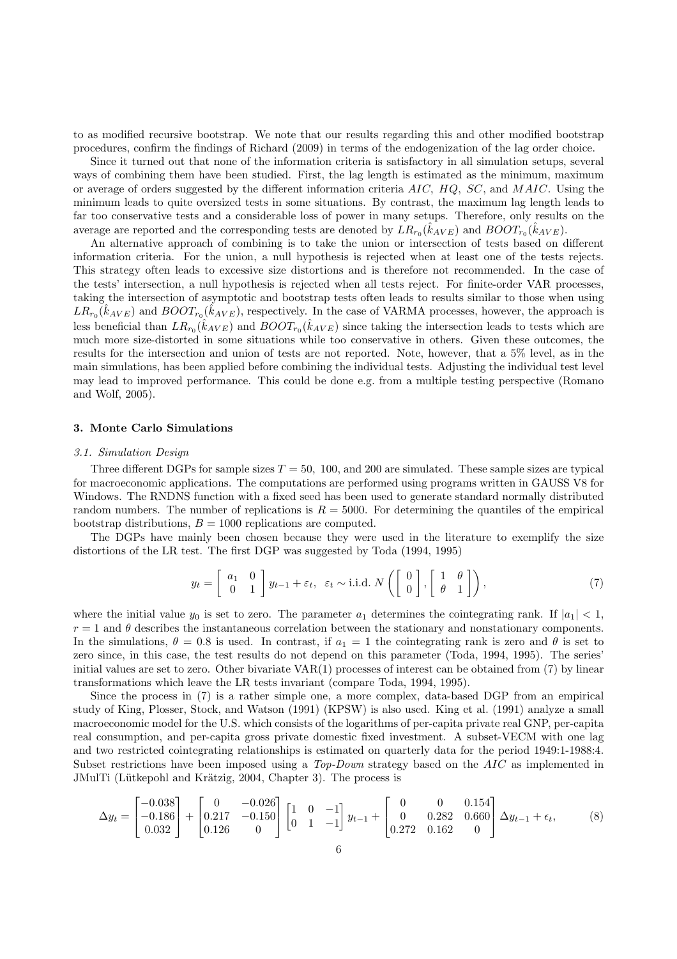to as modified recursive bootstrap. We note that our results regarding this and other modified bootstrap procedures, confirm the findings of Richard (2009) in terms of the endogenization of the lag order choice.

Since it turned out that none of the information criteria is satisfactory in all simulation setups, several ways of combining them have been studied. First, the lag length is estimated as the minimum, maximum or average of orders suggested by the different information criteria  $AIC$ ,  $HQ$ ,  $SC$ , and  $MAIC$ . Using the minimum leads to quite oversized tests in some situations. By contrast, the maximum lag length leads to far too conservative tests and a considerable loss of power in many setups. Therefore, only results on the average are reported and the corresponding tests are denoted by  $LR_{r_0}(\hat{k}_{AVE})$  and  $BOOT_{r_0}(\hat{k}_{AVE})$ .

An alternative approach of combining is to take the union or intersection of tests based on different information criteria. For the union, a null hypothesis is rejected when at least one of the tests rejects. This strategy often leads to excessive size distortions and is therefore not recommended. In the case of the tests' intersection, a null hypothesis is rejected when all tests reject. For finite-order VAR processes, taking the intersection of asymptotic and bootstrap tests often leads to results similar to those when using  $LR_{r_0}(\hat{k}_{AVE})$  and  $BOOT_{r_0}(\hat{k}_{AVE})$ , respectively. In the case of VARMA processes, however, the approach is less beneficial than  $LR_{r_0}(\hat{k}_{AVE})$  and  $BOOT_{r_0}(\hat{k}_{AVE})$  since taking the intersection leads to tests which are much more size-distorted in some situations while too conservative in others. Given these outcomes, the results for the intersection and union of tests are not reported. Note, however, that a 5% level, as in the main simulations, has been applied before combining the individual tests. Adjusting the individual test level may lead to improved performance. This could be done e.g. from a multiple testing perspective (Romano and Wolf, 2005).

# 3. Monte Carlo Simulations

#### 3.1. Simulation Design

Three different DGPs for sample sizes  $T = 50$ , 100, and 200 are simulated. These sample sizes are typical for macroeconomic applications. The computations are performed using programs written in GAUSS V8 for Windows. The RNDNS function with a fixed seed has been used to generate standard normally distributed random numbers. The number of replications is  $R = 5000$ . For determining the quantiles of the empirical bootstrap distributions,  $B = 1000$  replications are computed.

The DGPs have mainly been chosen because they were used in the literature to exemplify the size distortions of the LR test. The first DGP was suggested by Toda (1994, 1995)

$$
y_t = \begin{bmatrix} a_1 & 0 \\ 0 & 1 \end{bmatrix} y_{t-1} + \varepsilon_t, \ \varepsilon_t \sim \text{i.i.d.} \ N \left( \begin{bmatrix} 0 \\ 0 \end{bmatrix}, \begin{bmatrix} 1 & \theta \\ \theta & 1 \end{bmatrix} \right), \tag{7}
$$

where the initial value  $y_0$  is set to zero. The parameter  $a_1$  determines the cointegrating rank. If  $|a_1| < 1$ ,  $r = 1$  and  $\theta$  describes the instantaneous correlation between the stationary and nonstationary components. In the simulations,  $\theta = 0.8$  is used. In contrast, if  $a_1 = 1$  the cointegrating rank is zero and  $\theta$  is set to zero since, in this case, the test results do not depend on this parameter (Toda, 1994, 1995). The series' initial values are set to zero. Other bivariate VAR(1) processes of interest can be obtained from (7) by linear transformations which leave the LR tests invariant (compare Toda, 1994, 1995).

Since the process in (7) is a rather simple one, a more complex, data-based DGP from an empirical study of King, Plosser, Stock, and Watson (1991) (KPSW) is also used. King et al. (1991) analyze a small macroeconomic model for the U.S. which consists of the logarithms of per-capita private real GNP, per-capita real consumption, and per-capita gross private domestic fixed investment. A subset-VECM with one lag and two restricted cointegrating relationships is estimated on quarterly data for the period 1949:1-1988:4. Subset restrictions have been imposed using a Top-Down strategy based on the AIC as implemented in JMulTi (Lütkepohl and Krätzig, 2004, Chapter 3). The process is

$$
\Delta y_t = \begin{bmatrix} -0.038 \\ -0.186 \\ 0.032 \end{bmatrix} + \begin{bmatrix} 0 & -0.026 \\ 0.217 & -0.150 \\ 0.126 & 0 \end{bmatrix} \begin{bmatrix} 1 & 0 & -1 \\ 0 & 1 & -1 \end{bmatrix} y_{t-1} + \begin{bmatrix} 0 & 0 & 0.154 \\ 0 & 0.282 & 0.660 \\ 0.272 & 0.162 & 0 \end{bmatrix} \Delta y_{t-1} + \epsilon_t,
$$
 (8)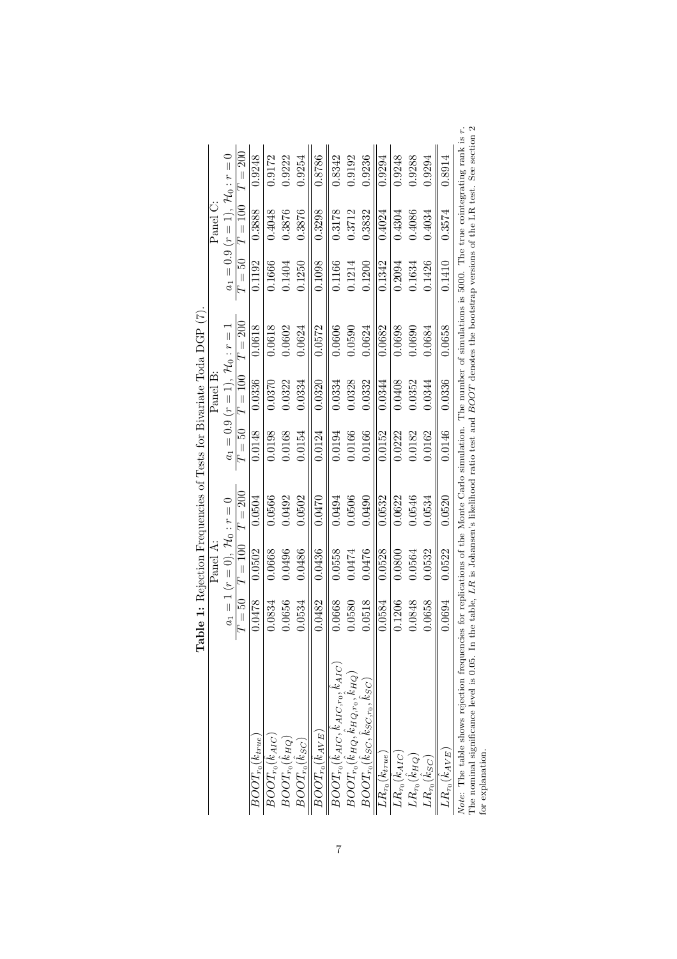|                                                                                                                                                                                                                                                                                                                                                       |        | Panel A:                                   |        |        | Panel B:                                 |         |        | Panel C:                                     |         |
|-------------------------------------------------------------------------------------------------------------------------------------------------------------------------------------------------------------------------------------------------------------------------------------------------------------------------------------------------------|--------|--------------------------------------------|--------|--------|------------------------------------------|---------|--------|----------------------------------------------|---------|
|                                                                                                                                                                                                                                                                                                                                                       |        | $a_1 = 1$ (r = 0), $\mathcal{H}_0 : r = 0$ |        |        | $a_1 = 0.9 (r = 1), \mathcal{H}_0 : r =$ |         |        | $a_1 = 0.9$ $(r = 1), \mathcal{H}_0 : r = 0$ |         |
|                                                                                                                                                                                                                                                                                                                                                       | $T=50$ | $T = 100$ $T = 200$                        |        | $T=50$ | $T = 100$                                | $T=200$ |        | $T = 50$ $T = 100$                           | $T=200$ |
| $BOOT_{r_0}(k_{true})$                                                                                                                                                                                                                                                                                                                                | 0.0478 | 0.0502                                     | 0.0504 | 0.0148 | 0.0336                                   | 0.0618  | 0.1192 | 0.3888                                       | 0.9248  |
| $BOOT_{r_0}(k_{AIC})$                                                                                                                                                                                                                                                                                                                                 | 0.0834 | 0.0668                                     | 0.0566 | 0.0198 | 0.0370                                   | 0.0618  | 0.1666 | 0.4048                                       | 0.9172  |
| $BOOT_{r_0}(k_{HQ})$                                                                                                                                                                                                                                                                                                                                  | 0.0656 | 0.0496                                     | 0.0492 | 0.0168 | 0.0322                                   | 0.0602  | 0.1404 | 0.3876                                       | 0.9222  |
| $BOOT_{r_0}(k_{SC})$                                                                                                                                                                                                                                                                                                                                  | 0.0534 | 0.0486                                     | 0.0502 | 0.0154 | 0.0334                                   | 0.0624  | 0.1250 | 0.3876                                       | 0.9254  |
| $BOOT_{r_0}(k_{AVE})$                                                                                                                                                                                                                                                                                                                                 | 0.0482 | 0.0436                                     | 0.0470 | 0.0124 | 0.0320                                   | 0.0572  | 0.1098 | 0.3298                                       | 0.8786  |
| $BOOT_{r_0}(k_{AIC}, k_{AIC, r_0}, k_{AIC})$                                                                                                                                                                                                                                                                                                          | 0.0668 | 0.0558                                     | 0.0494 | 0.0194 | 0.0334                                   | 0.0606  | 0.1166 | 0.3178                                       | 0.8342  |
| $BOOT_{r_0}(\hat k_{HQ},\hat k_{HQ,r_0},\hat k_{HQ})$                                                                                                                                                                                                                                                                                                 | 0.0580 | 0.0474                                     | 0.0506 | 0.0166 | 0.0328                                   | 0.0590  | 0.1214 | 0.3712                                       | 0.9192  |
| $BOOT_{r_0}(k_{SC}, k_{SC, r_0}, k_{SC})$                                                                                                                                                                                                                                                                                                             | 0.0518 | 0.0476                                     | 0.0490 | 0.0166 | 0.0332                                   | 0.0624  | 0.1200 | 0.3832                                       | 0.9236  |
| $LR_{r_0}(k_{true})$                                                                                                                                                                                                                                                                                                                                  | 0.0584 | 0.0528                                     | 0.0532 | 0.0152 | $0.0344\,$                               | 0.0682  | 0.1342 | 0.4024                                       | 0.9294  |
| $LR_{r_0}(k_{AIC})$                                                                                                                                                                                                                                                                                                                                   | 0.1206 | 0.0800                                     | 0.0622 | 0.0222 | 0.0408                                   | 0.0698  | 0.2094 | 0.4304                                       | 0.9248  |
| $LR_{r_0}(k_{HQ})$                                                                                                                                                                                                                                                                                                                                    | 0.0848 | 0.0564                                     | 0.0546 | 0.0182 | 0.0352                                   | 0.0690  | 0.1634 | 0.4086                                       | 0.9288  |
| $LR_{r_0}(k_{SC})$                                                                                                                                                                                                                                                                                                                                    | 0.0658 | 0.532                                      | 0.0534 | 0.0162 | 0.0344                                   | 0.0684  | 0.1426 | 0.4034                                       | 0.9294  |
| $LR_{r_0}(k_{AVE}$                                                                                                                                                                                                                                                                                                                                    | 0.0694 | 0.0522                                     | 0.0520 | 0.0146 | 0.0336                                   | 0.0658  | 0.1410 | 0.3574                                       | 0.8914  |
| Note: The table shows rejection frequencies for replications of the Monte Carlo simulation. The number of simulations is 5000. The true cointegrating rank is r.<br>The nominal significance level is 0.05. In the table <i>I.R</i> is Johansen's likelihood ratio test and <i>BOOT</i> denotes the bootstrap versions of the I.R test. See section 2 |        |                                            |        |        |                                          |         |        |                                              |         |

**Table 1:** Rejection Frequencies of Tests for Bivariate Toda DGP (7). Table 1: Rejection Frequencies of Tests for Bivariate Toda DGP (7). k is  $r$ .<br>tion 2 The nominal significance level is 0.05. In the table, LR is Johansen's likelihood ratio test and BOOT denotes the bootstrap versions of the LR test. See section 2 ì ATT  $\overline{5}$  $\frac{1}{3}$ Ş Ĕ HEIT ā Ŕ,  $\tilde{\vec{a}}$ Ć ₹ ST 177 aure, JП  $\Xi$ en is U.U.  $\sum_{i=1}^{n}$ ÿ The nominal significano for explanation. for explanation.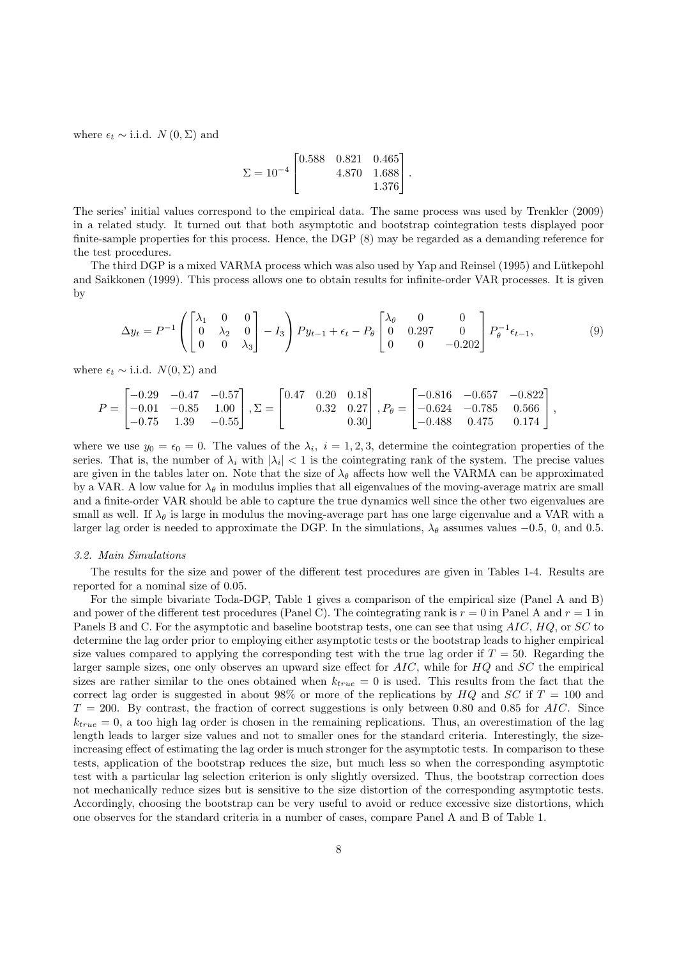where  $\epsilon_t \sim$  i.i.d.  $N(0, \Sigma)$  and

$$
\Sigma = 10^{-4} \begin{bmatrix} 0.588 & 0.821 & 0.465 \\ 4.870 & 1.688 \\ 1.376 \end{bmatrix}.
$$

The series' initial values correspond to the empirical data. The same process was used by Trenkler (2009) in a related study. It turned out that both asymptotic and bootstrap cointegration tests displayed poor finite-sample properties for this process. Hence, the DGP (8) may be regarded as a demanding reference for the test procedures.

The third DGP is a mixed VARMA process which was also used by Yap and Reinsel (1995) and Lütkepohl and Saikkonen (1999). This process allows one to obtain results for infinite-order VAR processes. It is given by

$$
\Delta y_t = P^{-1} \left( \begin{bmatrix} \lambda_1 & 0 & 0 \\ 0 & \lambda_2 & 0 \\ 0 & 0 & \lambda_3 \end{bmatrix} - I_3 \right) P y_{t-1} + \epsilon_t - P_{\theta} \begin{bmatrix} \lambda_{\theta} & 0 & 0 \\ 0 & 0.297 & 0 \\ 0 & 0 & -0.202 \end{bmatrix} P_{\theta}^{-1} \epsilon_{t-1}, \tag{9}
$$

where  $\epsilon_t \sim$  i.i.d.  $N(0, \Sigma)$  and

$$
P = \begin{bmatrix} -0.29 & -0.47 & -0.57 \\ -0.01 & -0.85 & 1.00 \\ -0.75 & 1.39 & -0.55 \end{bmatrix}, \Sigma = \begin{bmatrix} 0.47 & 0.20 & 0.18 \\ & 0.32 & 0.27 \\ & & 0.30 \end{bmatrix}, P_{\theta} = \begin{bmatrix} -0.816 & -0.657 & -0.822 \\ -0.624 & -0.785 & 0.566 \\ -0.488 & 0.475 & 0.174 \end{bmatrix},
$$

where we use  $y_0 = \epsilon_0 = 0$ . The values of the  $\lambda_i$ ,  $i = 1, 2, 3$ , determine the cointegration properties of the series. That is, the number of  $\lambda_i$  with  $|\lambda_i|$  < 1 is the cointegrating rank of the system. The precise values are given in the tables later on. Note that the size of  $\lambda_{\theta}$  affects how well the VARMA can be approximated by a VAR. A low value for  $\lambda_{\theta}$  in modulus implies that all eigenvalues of the moving-average matrix are small and a finite-order VAR should be able to capture the true dynamics well since the other two eigenvalues are small as well. If  $\lambda_{\theta}$  is large in modulus the moving-average part has one large eigenvalue and a VAR with a larger lag order is needed to approximate the DGP. In the simulations,  $\lambda_{\theta}$  assumes values -0.5, 0, and 0.5.

## 3.2. Main Simulations

The results for the size and power of the different test procedures are given in Tables 1-4. Results are reported for a nominal size of 0.05.

For the simple bivariate Toda-DGP, Table 1 gives a comparison of the empirical size (Panel A and B) and power of the different test procedures (Panel C). The cointegrating rank is  $r = 0$  in Panel A and  $r = 1$  in Panels B and C. For the asymptotic and baseline bootstrap tests, one can see that using  $AIC$ ,  $HQ$ , or SC to determine the lag order prior to employing either asymptotic tests or the bootstrap leads to higher empirical size values compared to applying the corresponding test with the true lag order if  $T = 50$ . Regarding the larger sample sizes, one only observes an upward size effect for  $AIC$ , while for  $HQ$  and  $SC$  the empirical sizes are rather similar to the ones obtained when  $k_{true} = 0$  is used. This results from the fact that the correct lag order is suggested in about 98% or more of the replications by  $HQ$  and  $SC$  if  $T = 100$  and  $T = 200$ . By contrast, the fraction of correct suggestions is only between 0.80 and 0.85 for AIC. Since  $k_{true} = 0$ , a too high lag order is chosen in the remaining replications. Thus, an overestimation of the lag length leads to larger size values and not to smaller ones for the standard criteria. Interestingly, the sizeincreasing effect of estimating the lag order is much stronger for the asymptotic tests. In comparison to these tests, application of the bootstrap reduces the size, but much less so when the corresponding asymptotic test with a particular lag selection criterion is only slightly oversized. Thus, the bootstrap correction does not mechanically reduce sizes but is sensitive to the size distortion of the corresponding asymptotic tests. Accordingly, choosing the bootstrap can be very useful to avoid or reduce excessive size distortions, which one observes for the standard criteria in a number of cases, compare Panel A and B of Table 1.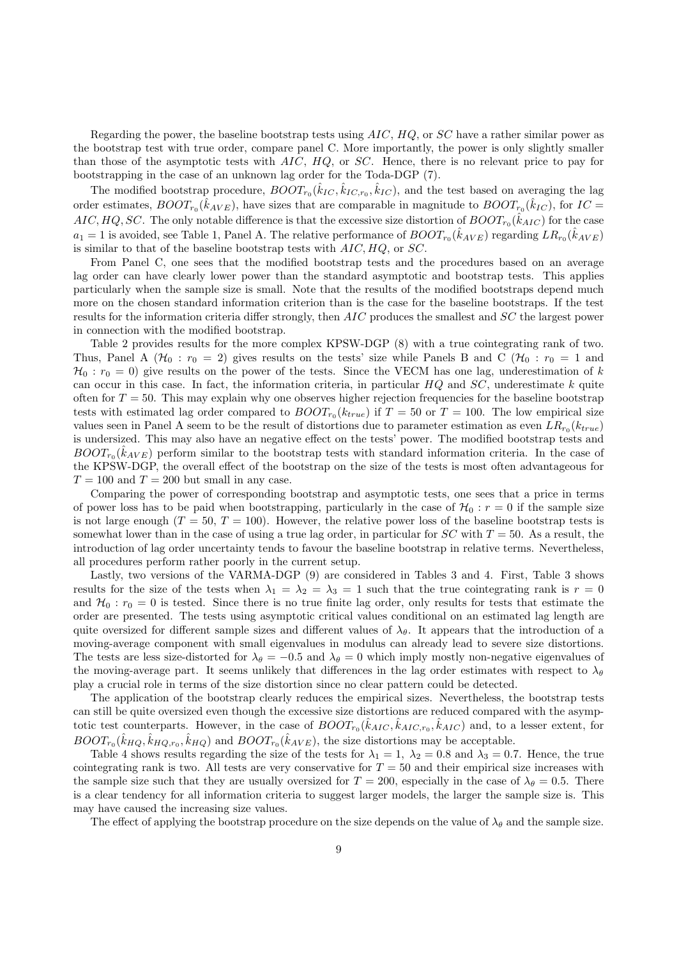Regarding the power, the baseline bootstrap tests using  $AIC$ ,  $HQ$ , or  $SC$  have a rather similar power as the bootstrap test with true order, compare panel C. More importantly, the power is only slightly smaller than those of the asymptotic tests with  $AIC$ ,  $HQ$ , or  $SC$ . Hence, there is no relevant price to pay for bootstrapping in the case of an unknown lag order for the Toda-DGP (7).

The modified bootstrap procedure,  $BOOT_{r_0}(\hat{k}_{IC}, \hat{k}_{IC,r_0}, \hat{k}_{IC})$ , and the test based on averaging the lag order estimates,  $BOOT_{r_0}(\hat{k}_{AVE})$ , have sizes that are comparable in magnitude to  $BOOT_{r_0}(\hat{k}_{IC})$ , for  $IC =$  $AIC, HQ, SC$ . The only notable difference is that the excessive size distortion of  $BOOT_{r_0}(\hat{k}_{AIC})$  for the case  $a_1 = 1$  is avoided, see Table 1, Panel A. The relative performance of  $BOOT_{r_0}(\hat{k}_{AVE})$  regarding  $LR_{r_0}(\hat{k}_{AVE})$ is similar to that of the baseline bootstrap tests with  $AIC, HQ$ , or  $SC$ .

From Panel C, one sees that the modified bootstrap tests and the procedures based on an average lag order can have clearly lower power than the standard asymptotic and bootstrap tests. This applies particularly when the sample size is small. Note that the results of the modified bootstraps depend much more on the chosen standard information criterion than is the case for the baseline bootstraps. If the test results for the information criteria differ strongly, then AIC produces the smallest and SC the largest power in connection with the modified bootstrap.

Table 2 provides results for the more complex KPSW-DGP (8) with a true cointegrating rank of two. Thus, Panel A ( $\mathcal{H}_0$ :  $r_0 = 2$ ) gives results on the tests' size while Panels B and C ( $\mathcal{H}_0$ :  $r_0 = 1$  and  $\mathcal{H}_0$ :  $r_0 = 0$ ) give results on the power of the tests. Since the VECM has one lag, underestimation of k can occur in this case. In fact, the information criteria, in particular  $HQ$  and  $SC$ , underestimate k quite often for  $T = 50$ . This may explain why one observes higher rejection frequencies for the baseline bootstrap tests with estimated lag order compared to  $BOOT_{r_0}(k_{true})$  if  $T = 50$  or  $T = 100$ . The low empirical size values seen in Panel A seem to be the result of distortions due to parameter estimation as even  $LR_{r_0}(k_{true})$ is undersized. This may also have an negative effect on the tests' power. The modified bootstrap tests and  $BOOT_{r_0}(\hat{k}_{AVE})$  perform similar to the bootstrap tests with standard information criteria. In the case of the KPSW-DGP, the overall effect of the bootstrap on the size of the tests is most often advantageous for  $T = 100$  and  $T = 200$  but small in any case.

Comparing the power of corresponding bootstrap and asymptotic tests, one sees that a price in terms of power loss has to be paid when bootstrapping, particularly in the case of  $\mathcal{H}_0 : r = 0$  if the sample size is not large enough  $(T = 50, T = 100)$ . However, the relative power loss of the baseline bootstrap tests is somewhat lower than in the case of using a true lag order, in particular for  $SC$  with  $T = 50$ . As a result, the introduction of lag order uncertainty tends to favour the baseline bootstrap in relative terms. Nevertheless, all procedures perform rather poorly in the current setup.

Lastly, two versions of the VARMA-DGP (9) are considered in Tables 3 and 4. First, Table 3 shows results for the size of the tests when  $\lambda_1 = \lambda_2 = \lambda_3 = 1$  such that the true cointegrating rank is  $r = 0$ and  $\mathcal{H}_0$ :  $r_0 = 0$  is tested. Since there is no true finite lag order, only results for tests that estimate the order are presented. The tests using asymptotic critical values conditional on an estimated lag length are quite oversized for different sample sizes and different values of  $\lambda_{\theta}$ . It appears that the introduction of a moving-average component with small eigenvalues in modulus can already lead to severe size distortions. The tests are less size-distorted for  $\lambda_{\theta} = -0.5$  and  $\lambda_{\theta} = 0$  which imply mostly non-negative eigenvalues of the moving-average part. It seems unlikely that differences in the lag order estimates with respect to  $\lambda_{\theta}$ play a crucial role in terms of the size distortion since no clear pattern could be detected.

The application of the bootstrap clearly reduces the empirical sizes. Nevertheless, the bootstrap tests can still be quite oversized even though the excessive size distortions are reduced compared with the asymptotic test counterparts. However, in the case of  $BOOT_{r_0}(\hat{k}_{AIC}, \hat{k}_{AIC,r_0}, \hat{k}_{AIC})$  and, to a lesser extent, for  $BOOT_{r_0}(\hat{k}_{HQ}, \hat{k}_{HQ, r_0}, \hat{k}_{HQ})$  and  $BOOT_{r_0}(\hat{k}_{AVE})$ , the size distortions may be acceptable.

Table 4 shows results regarding the size of the tests for  $\lambda_1 = 1$ ,  $\lambda_2 = 0.8$  and  $\lambda_3 = 0.7$ . Hence, the true cointegrating rank is two. All tests are very conservative for  $T = 50$  and their empirical size increases with the sample size such that they are usually oversized for  $T = 200$ , especially in the case of  $\lambda_{\theta} = 0.5$ . There is a clear tendency for all information criteria to suggest larger models, the larger the sample size is. This may have caused the increasing size values.

The effect of applying the bootstrap procedure on the size depends on the value of  $\lambda_{\theta}$  and the sample size.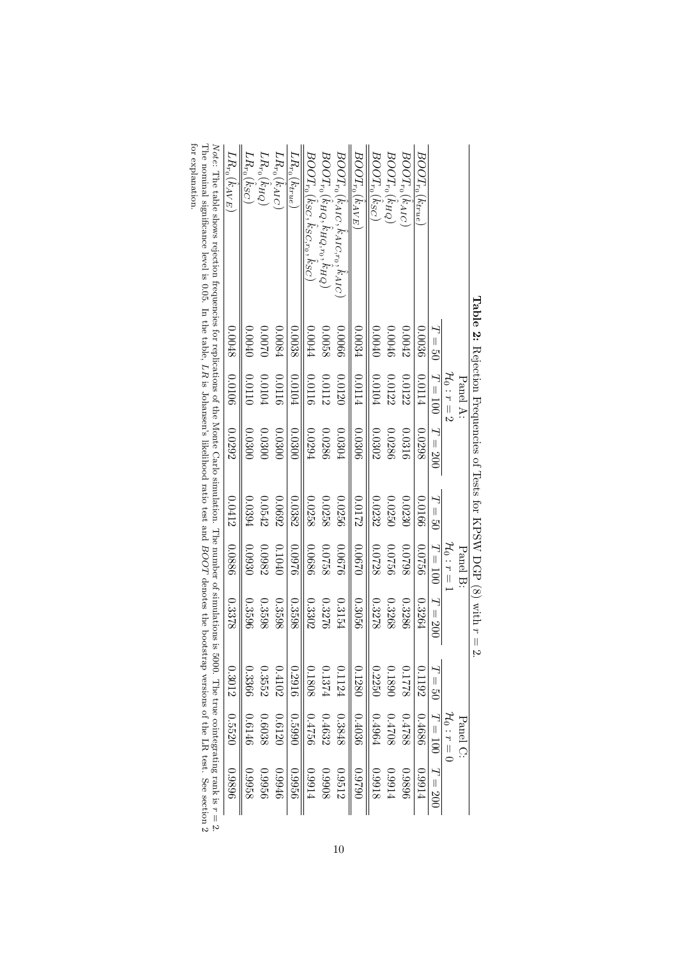|                                                                                                                                                                                         |          |                      | Table 2: $\Gamma$ is $\sim$ 1.41 $\mu$ is $\sim$ 1.41 $\sim$ 1.41 $\sim$ 1.41 $\sim$ 1.41 $\sim$ 1.41 $\sim$ 1.41 $\sim$ 1.41 $\sim$ 1.41 $\sim$ 1.41 $\sim$ 1.41 $\sim$ 1.41 $\sim$ 1.41 $\sim$ 1.41 $\sim$ 1.41 $\sim$ 1.41 $\sim$ 1.41 $\sim$ 1.41 $\sim$ 1.41 $\sim$ 1 |                            |                      |        |        |                               |        |
|-----------------------------------------------------------------------------------------------------------------------------------------------------------------------------------------|----------|----------------------|----------------------------------------------------------------------------------------------------------------------------------------------------------------------------------------------------------------------------------------------------------------------------|----------------------------|----------------------|--------|--------|-------------------------------|--------|
|                                                                                                                                                                                         |          | Panel A:             |                                                                                                                                                                                                                                                                            |                            | Panel B:             |        |        | Panel C:                      |        |
|                                                                                                                                                                                         |          | $\mathcal{H}_0: r=2$ |                                                                                                                                                                                                                                                                            |                            | $\mathcal{H}_0: r=1$ |        |        | $\mathcal{H}_0: r=0$          |        |
|                                                                                                                                                                                         | $T = 50$ | $T = 100$ $T = 200$  |                                                                                                                                                                                                                                                                            | $T = 50$                   | $T = 100$ $T = 200$  |        |        | $T = 100$ $T = 100$ $T = 300$ |        |
| $BOOT_{r_0}(k_{true}$                                                                                                                                                                   | 0.0036   | 0.0114               | 0.0298                                                                                                                                                                                                                                                                     | 0.0166                     | 022010               | 0.3264 | 0.1192 | 0.4686                        | 1.9914 |
| $BOOT_{r_0}(k_{AIC}$                                                                                                                                                                    | 0.0042   | 0.0122               | 0.0316                                                                                                                                                                                                                                                                     | 0.0230                     | 8620.0               | 0.3286 | 8771.0 | 0.4788                        | 9686   |
| $BOOT_{r_0}(k_{HQ})$                                                                                                                                                                    | 0.0046   | 0.0122               | 0.0286                                                                                                                                                                                                                                                                     | 0.0250                     | 0.0756               | 0.3268 | 0.1890 | 0.4708                        | 1.9914 |
| $BOOT_{r_0}(k_{SC})$                                                                                                                                                                    | 0.0040   | 0.0104               | 0.0302                                                                                                                                                                                                                                                                     | 0.0232                     | 82200                | 0.3278 | 0.2250 | 1.4964                        | 8166:0 |
| $BOOT_{r_0}(k_{AVE}$                                                                                                                                                                    | 0.0034   | 0.0114               | 0.0306                                                                                                                                                                                                                                                                     | 0.0172                     | 0.0670               | 0.3056 | 0.1280 | 0.4036                        | 0626'0 |
| $BOOT_{r_0}(k_{AIC}, k_{AIC,r_0}, k_{AIC})$                                                                                                                                             | 0.0066   | 0.0120               | 0.0304                                                                                                                                                                                                                                                                     | 0.0256                     | 9290'0               | 0.3154 | 0.1124 | 0.3848                        | 0.9512 |
| $BOOT_{r_0}(k_HQ,k_HQ,r_0,k_HQ)$                                                                                                                                                        | 8200.0   | 0.0112               | 0.0286                                                                                                                                                                                                                                                                     | 0.0258                     | 8220.0               | 0.3276 | 0.1374 | 0.4632                        | 8066'0 |
| $BOOT_{r_0}(k_{SC}, k_{SC, r_0}, k_{SC})$                                                                                                                                               | 0.0044   | 0.0116               | 0.0294                                                                                                                                                                                                                                                                     | 0.0258                     | 0.0686               | 0.3302 | 0.1808 | 054756                        | 1.9914 |
| $LR_{r_0}(k_{tr\underline{u}\underline{e}}$                                                                                                                                             | 0.0038   | 0.0104               | 0.0300                                                                                                                                                                                                                                                                     | 0.0382                     | 9260'0               | 0.3598 | 0.2916 | 0.5990                        | 92660  |
| $LR_{r_0}(k_{AIC})$                                                                                                                                                                     | 0.0084   | 0.0116               | 00300                                                                                                                                                                                                                                                                      | 0.0692                     | 0.1040               | 0.3598 | 0.4102 | 0.6120                        | 97660  |
| $LR_{r_0}(k_{HQ})$                                                                                                                                                                      | 0.0070   | 0.0104               | 00300                                                                                                                                                                                                                                                                      | 0.0542                     | 0.0982               | 0.3598 | 0.3552 | 0.6038                        | 0.9956 |
| $LR_{r_0}(k_{SC})$                                                                                                                                                                      | 0.0040   | 0.0110               | 00300                                                                                                                                                                                                                                                                      | 0.0394                     | 0.0930               | 0.3596 | 0.3366 | 0.6146                        | 82660  |
| $LR_{r_0}(k_{AVE})$                                                                                                                                                                     | 0.0048   | 9010'0               | 0.0292                                                                                                                                                                                                                                                                     | 0.0412                     | 0.0886               | 0.3378 | 0.3012 | 0.5520                        | 96860  |
| $\sim$ $\sigma$ in the table shows rejection the<br>quandizations of the Monte Carlo simulation. He number of simulations is 5000. The rune cointegrating rank is<br>$\sim$<br>$\vdots$ |          |                      |                                                                                                                                                                                                                                                                            | <br> <br> <br> <br> <br>į. | $-20.7$              |        |        |                               |        |
|                                                                                                                                                                                         |          |                      |                                                                                                                                                                                                                                                                            |                            |                      |        |        |                               |        |

 $r = 2.$ The nominal significance level is 0.05. In the table,  $\mathcal{L}R$ is Johansen's likelihood ratio test and BOOT denotes the bootstrap versions of the LR test. See section 2 for explanation.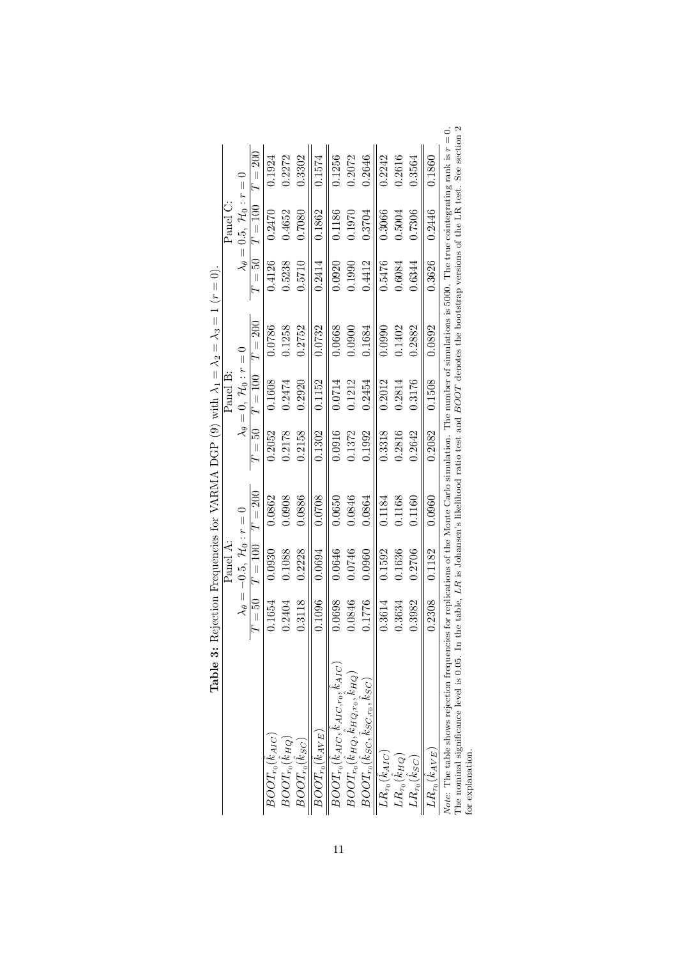|                                                                                                                                                                                                                                                                                                                                         |        | Panel A:                                      |         |                   | Panel B:                                  |         |                     | Panel C:                                |           |
|-----------------------------------------------------------------------------------------------------------------------------------------------------------------------------------------------------------------------------------------------------------------------------------------------------------------------------------------|--------|-----------------------------------------------|---------|-------------------|-------------------------------------------|---------|---------------------|-----------------------------------------|-----------|
|                                                                                                                                                                                                                                                                                                                                         |        | $\lambda_\theta = -0.5,~\mathcal{H}_0: r = 0$ |         |                   | $\lambda_\theta=0.~\mathcal{H}_0$ : $r=0$ |         |                     | $\lambda_\theta=0.5,~\mathcal{H}_0:r=0$ |           |
|                                                                                                                                                                                                                                                                                                                                         | $T=50$ | $T = 100$                                     | $T=200$ | $\overline{T}=50$ | $T = 100$                                 | $T=200$ | $\overline{T} = 50$ | $T = 100$                               | $T = 200$ |
| $BOOT_{r_0}(k_{AIC})$                                                                                                                                                                                                                                                                                                                   | 0.1654 | 0.0930                                        | 0.0862  | 0.2052            | 0.1608                                    | 0.0786  | 0.4126              | 0.2470                                  | 0.1924    |
| $BOOT_{r_0}(k_{HQ})$                                                                                                                                                                                                                                                                                                                    | 0.2404 | 0.1088                                        | 0.0908  | 0.2178            | 0.2474                                    | 0.1258  | 0.5238              | 0.4652                                  | 0.2272    |
| $BOOT_{r_0}(k_{SC})$                                                                                                                                                                                                                                                                                                                    | 0.3118 | 0.2228                                        | 0.0886  | 0.2158            | 0.2920                                    | 0.2752  | 0.5710              | 0.7080                                  | 0.3302    |
| $BOOT_{r_0}(k_{AVE})$                                                                                                                                                                                                                                                                                                                   | 0.1096 | 0.0694                                        | 0.0708  | 0.1302            | 0.1152                                    | 0.0732  | 0.2414              | 0.1862                                  | 0.1574    |
| $BOOT_{r_0}(k_{AIC}, k_{AIC}, k_{AIC})$                                                                                                                                                                                                                                                                                                 | 0.0698 | 0.0646                                        | 0.0650  | 0.0916            | 0.0714                                    | 0.0668  | 0.0920              | 0.1186                                  | 0.1256    |
| $BOOT_{r_0}(k_{HQ}, k_{HQ}, k_{HQ})$                                                                                                                                                                                                                                                                                                    | 0.0846 | 0.0746                                        | 0.0846  | 0.1372            | 0.1212                                    | 0.0900  | 0.1990              | 0.1970                                  | 0.2072    |
| $BOOT_{r_0}(k_{SC}, k_{SC, r_0}, k_{SC})$                                                                                                                                                                                                                                                                                               | 0.1776 | 0.0960                                        | 0.0864  | 0.1992            | 0.2454                                    | 0.1684  | 0.4412              | 0.3704                                  | 0.2646    |
| $LR_{r_0}(\hat k_{AIC})$                                                                                                                                                                                                                                                                                                                | 0.3614 | 0.1592                                        | 0.1184  | 0.3318            | 0.2012                                    | 0.0990  | 0.5476              | 0.3066                                  | 0.2242    |
| $LR_{r_0}(\hat k_{HQ})$                                                                                                                                                                                                                                                                                                                 | 0.3634 | 0.1636                                        | 0.1168  | 0.2816            | 0.2814                                    | 0.1402  | 0.6084              | 0.5004                                  | 0.2616    |
| $LR_{r_0}(k_{SC})$                                                                                                                                                                                                                                                                                                                      | 0.3982 | 0.2706                                        | 0.1160  | 0.2642            | 0.3176                                    | 0.2882  | 0.6344              | 0.7306                                  | 0.3564    |
| $LR_{r_0}(k_{AVE})$                                                                                                                                                                                                                                                                                                                     | 0.2308 | 0.1182                                        | 0.0960  | 0.2082            | 0.1508                                    | 0.0892  | 0.3626              | 0.2446                                  | 0.1860    |
| The nominal significance level is 0.05. In the table, LB is Johansen's likelihood ratio test and BOOT denotes the bootstrap versions of the LB test. See section<br>Note: The table shows rejection frequencies for replications of the Monte Carlo simulation. The number of simulations is 5000. The true cointegrating rank is $r =$ |        |                                               |         |                   |                                           |         |                     |                                         |           |

| $\mathsf{I}$                |  |
|-----------------------------|--|
| I                           |  |
| $\frac{1}{2}$ $\frac{1}{2}$ |  |
| ׇ֚֓֡                        |  |
|                             |  |
| $\parallel$                 |  |
| ֕                           |  |
|                             |  |
|                             |  |
| べく してし こしょし<br>I<br>j       |  |
| ı                           |  |
| $\frac{1}{2}$               |  |
|                             |  |
| $\frac{1}{2}$               |  |
| l                           |  |
|                             |  |
|                             |  |
|                             |  |
| ı<br>I<br>֕                 |  |
|                             |  |
|                             |  |
|                             |  |
| I                           |  |
| ¢                           |  |
| ¢<br>ļ                      |  |
| י<br>ב<br>۱                 |  |

 $\frac{1}{2}$ The nominal significance level is 0.05. In the table, LR is Johansen's likelihood ratio test and BOOT denotes the bootstrap versions of the LR test. See section 2 Note: The table shows rejection frequencies for replications of the Monte Carlo simulation. The number of simulations is 5000. The true cointegrating rank is r = 0. for explanation.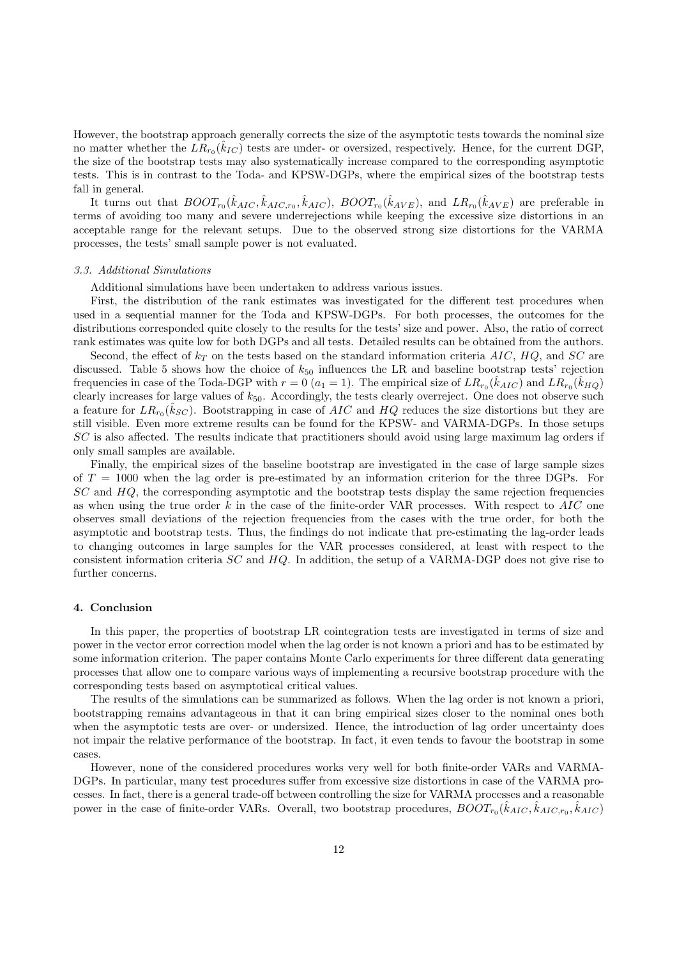However, the bootstrap approach generally corrects the size of the asymptotic tests towards the nominal size no matter whether the  $LR_{r_0}(\hat{k}_{IC})$  tests are under- or oversized, respectively. Hence, for the current DGP, the size of the bootstrap tests may also systematically increase compared to the corresponding asymptotic tests. This is in contrast to the Toda- and KPSW-DGPs, where the empirical sizes of the bootstrap tests fall in general.

It turns out that  $BOOT_{r_0}(\hat{k}_{AIC}, \hat{k}_{AIC,r_0}, \hat{k}_{AIC})$ ,  $BOOT_{r_0}(\hat{k}_{AVE})$ , and  $LR_{r_0}(\hat{k}_{AVE})$  are preferable in terms of avoiding too many and severe underrejections while keeping the excessive size distortions in an acceptable range for the relevant setups. Due to the observed strong size distortions for the VARMA processes, the tests' small sample power is not evaluated.

## 3.3. Additional Simulations

Additional simulations have been undertaken to address various issues.

First, the distribution of the rank estimates was investigated for the different test procedures when used in a sequential manner for the Toda and KPSW-DGPs. For both processes, the outcomes for the distributions corresponded quite closely to the results for the tests' size and power. Also, the ratio of correct rank estimates was quite low for both DGPs and all tests. Detailed results can be obtained from the authors.

Second, the effect of  $k_T$  on the tests based on the standard information criteria AIC, HQ, and SC are discussed. Table 5 shows how the choice of  $k_{50}$  influences the LR and baseline bootstrap tests' rejection frequencies in case of the Toda-DGP with  $r = 0$   $(a_1 = 1)$ . The empirical size of  $LR_{r_0}(\hat{k}_{AIC})$  and  $LR_{r_0}(\hat{k}_{HQ})$ clearly increases for large values of  $k_{50}$ . Accordingly, the tests clearly overreject. One does not observe such a feature for  $LR_{r_0}(\hat{k}_{SC})$ . Bootstrapping in case of AIC and HQ reduces the size distortions but they are still visible. Even more extreme results can be found for the KPSW- and VARMA-DGPs. In those setups SC is also affected. The results indicate that practitioners should avoid using large maximum lag orders if only small samples are available.

Finally, the empirical sizes of the baseline bootstrap are investigated in the case of large sample sizes of  $T = 1000$  when the lag order is pre-estimated by an information criterion for the three DGPs. For  $SC$  and  $HQ$ , the corresponding asymptotic and the bootstrap tests display the same rejection frequencies as when using the true order  $k$  in the case of the finite-order VAR processes. With respect to  $AIC$  one observes small deviations of the rejection frequencies from the cases with the true order, for both the asymptotic and bootstrap tests. Thus, the findings do not indicate that pre-estimating the lag-order leads to changing outcomes in large samples for the VAR processes considered, at least with respect to the consistent information criteria  $SC$  and  $HQ$ . In addition, the setup of a VARMA-DGP does not give rise to further concerns.

# 4. Conclusion

In this paper, the properties of bootstrap LR cointegration tests are investigated in terms of size and power in the vector error correction model when the lag order is not known a priori and has to be estimated by some information criterion. The paper contains Monte Carlo experiments for three different data generating processes that allow one to compare various ways of implementing a recursive bootstrap procedure with the corresponding tests based on asymptotical critical values.

The results of the simulations can be summarized as follows. When the lag order is not known a priori, bootstrapping remains advantageous in that it can bring empirical sizes closer to the nominal ones both when the asymptotic tests are over- or undersized. Hence, the introduction of lag order uncertainty does not impair the relative performance of the bootstrap. In fact, it even tends to favour the bootstrap in some cases.

However, none of the considered procedures works very well for both finite-order VARs and VARMA-DGPs. In particular, many test procedures suffer from excessive size distortions in case of the VARMA processes. In fact, there is a general trade-off between controlling the size for VARMA processes and a reasonable power in the case of finite-order VARs. Overall, two bootstrap procedures,  $B\ddot{OOT}_{r_0}(\hat{k}_{AIC}, \hat{k}_{AIC,r_0}, \hat{k}_{AIC})$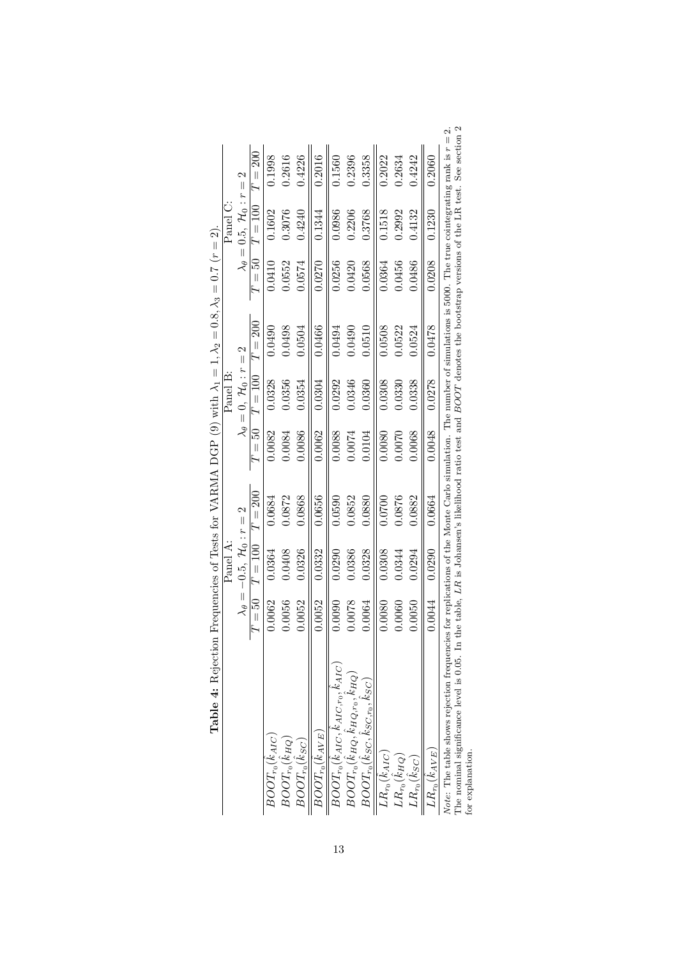| 0.0062<br>0.0056<br>0.0078<br>0.0044<br>0.0064<br>$BOOT_{r_0}(\hat{k}_{AIC}, k_{AIC, r_0}, k_{AIC})$<br>$BOOT_{r_0}(k_{HQ}, k_{HQ}, k_{HQ})$ | Frequencies of Tests for VARMA DGP (9) with $\lambda_1 = 1, \lambda_2 = 0.8, \lambda_3 = 0.7$ ( $r = 2$ ). | Panel C:<br>Panel B:<br>Panel A: | $\lambda_\theta=0.5,~\mathcal{H}_0: r=2$<br>$\lambda_{\theta}=0, \mathcal{H}_0: r=2$<br>$\lambda_\theta = -0.5,~\mathcal{H}_0: r = 2$ | $T=200$<br>$T=100$<br>$\overline{T} = 50$<br>$T=200$<br>$T = 100$<br>$\overline{T}=50$<br>$T = 200$<br>$T = 100$ | 0.1998<br>0.1602<br>0.0410<br>0.0490<br>0.0328<br>0.0082<br>0.0684<br>0.0364 | 0.2616<br>0.3076<br>0.0552<br>0.0498<br>0.0356<br>0.0084<br>0.0872<br>0.0408 | 0.4226<br>0.4240<br>0.0574<br>0.0504<br>0.0354<br>0.0086<br>0.0868<br>0.0326 | 0.2016<br>0.1344<br>0.0270<br>0.0466<br>0.0304<br>0.0062<br>0.0656<br>0.0332 | 0.1560<br>0.0986<br>0.0256<br>0.0494<br>0.0292<br>0.0088<br>0.0590<br>0.0290 | 0.2396<br>0.2206<br>0.0420<br>0.0490<br>0.0346<br>0.0074<br>0.0852<br>0.0386 | 0.3358<br>0.3768<br>0.0568<br>0.0510<br>0.0360<br>0.0104<br>0.0880<br>0.0328 | 0.2022<br>0.1518<br>0.0364<br>0.0508<br>0.0308<br>0.0080<br>0.0700<br>0.0308 | 0.2634<br>0.2992<br>0.0456<br>0.0522<br>0.0330<br>0.0070<br>0.0876<br>0.0344 | 0.4242<br>0.4132<br>0.0486<br>0.0524<br>0.0338<br>0.0068<br>0.0882<br>0.0294 | 0.2060<br>0.1230<br>0.0208<br>0.0478<br>0.0278<br>0.0048<br>0.0664<br>0.0290 | The nominal significance level is 0.05. In the table, $LR$ is Johansen's likelihood ratio test and $BOOT$ denotes the bootstrap versions of the LR test. See section 2<br>$\dot{\mathbf{\Omega}}$<br>Note: The table shows rejection frequencies for replications of the Monte Carlo simulation. The number of simulations is 5000. The true cointegrating rank is $r =$ |
|----------------------------------------------------------------------------------------------------------------------------------------------|------------------------------------------------------------------------------------------------------------|----------------------------------|---------------------------------------------------------------------------------------------------------------------------------------|------------------------------------------------------------------------------------------------------------------|------------------------------------------------------------------------------|------------------------------------------------------------------------------|------------------------------------------------------------------------------|------------------------------------------------------------------------------|------------------------------------------------------------------------------|------------------------------------------------------------------------------|------------------------------------------------------------------------------|------------------------------------------------------------------------------|------------------------------------------------------------------------------|------------------------------------------------------------------------------|------------------------------------------------------------------------------|--------------------------------------------------------------------------------------------------------------------------------------------------------------------------------------------------------------------------------------------------------------------------------------------------------------------------------------------------------------------------|
| $\overline{T=50}$<br>0.0052<br>0.0080<br>0.0050<br>0.0052<br>0.0060<br>0.0090                                                                |                                                                                                            |                                  |                                                                                                                                       |                                                                                                                  |                                                                              |                                                                              |                                                                              |                                                                              |                                                                              |                                                                              |                                                                              |                                                                              |                                                                              |                                                                              |                                                                              |                                                                                                                                                                                                                                                                                                                                                                          |
|                                                                                                                                              | Table 4: Rejection                                                                                         |                                  |                                                                                                                                       |                                                                                                                  |                                                                              |                                                                              |                                                                              |                                                                              |                                                                              |                                                                              | $BOOT_{r_0}(k_{SC}, k_{SC, r_0}, k_{SC})$                                    |                                                                              |                                                                              |                                                                              |                                                                              |                                                                                                                                                                                                                                                                                                                                                                          |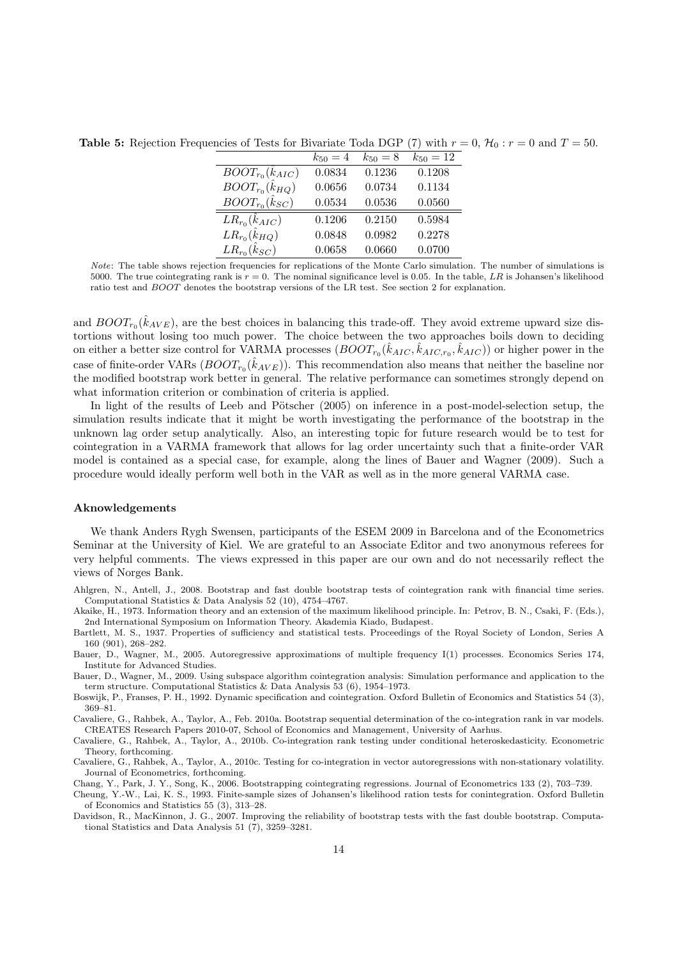**Table 5:** Rejection Frequencies of Tests for Bivariate Toda DGP (7) with  $r = 0$ ,  $\mathcal{H}_0 : r = 0$  and  $T = 50$ .

|                             | $k_{50} = 4$ | $k_{50} = 8$ | $k_{50} = 12$ |
|-----------------------------|--------------|--------------|---------------|
| $BOOT_{r_0}(\hat{k}_{AIC})$ | 0.0834       | 0.1236       | 0.1208        |
| $BOOT_{r_0}(\hat{k}_{HO})$  | 0.0656       | 0.0734       | 0.1134        |
| $BOOT_{r_0}(\hat{k}_{SC})$  | 0.0534       | 0.0536       | 0.0560        |
| $LR_{r_0}(\hat{k}_{AIC})$   | 0.1206       | 0.2150       | 0.5984        |
| $LR_{r_0}(\hat{k}_{HQ})$    | 0.0848       | 0.0982       | 0.2278        |
| $LR_{r_0}(\tilde{k}_{SC})$  | 0.0658       | 0.0660       | 0.0700        |

Note: The table shows rejection frequencies for replications of the Monte Carlo simulation. The number of simulations is 5000. The true cointegrating rank is  $r = 0$ . The nominal significance level is 0.05. In the table, LR is Johansen's likelihood ratio test and BOOT denotes the bootstrap versions of the LR test. See section 2 for explanation.

and  $BOOT_{r_0}(\hat{k}_{AVE})$ , are the best choices in balancing this trade-off. They avoid extreme upward size distortions without losing too much power. The choice between the two approaches boils down to deciding on either a better size control for VARMA processes  $(BOOT_{r_0}(\hat{k}_{AIC}, \hat{k}_{AIC, r_0}, \hat{k}_{AIC}))$  or higher power in the case of finite-order VARs  $(BOOT_{r_0}(\hat{k}_{AVE}))$ . This recommendation also means that neither the baseline nor the modified bootstrap work better in general. The relative performance can sometimes strongly depend on what information criterion or combination of criteria is applied.

In light of the results of Leeb and Pötscher  $(2005)$  on inference in a post-model-selection setup, the simulation results indicate that it might be worth investigating the performance of the bootstrap in the unknown lag order setup analytically. Also, an interesting topic for future research would be to test for cointegration in a VARMA framework that allows for lag order uncertainty such that a finite-order VAR model is contained as a special case, for example, along the lines of Bauer and Wagner (2009). Such a procedure would ideally perform well both in the VAR as well as in the more general VARMA case.

# Aknowledgements

We thank Anders Rygh Swensen, participants of the ESEM 2009 in Barcelona and of the Econometrics Seminar at the University of Kiel. We are grateful to an Associate Editor and two anonymous referees for very helpful comments. The views expressed in this paper are our own and do not necessarily reflect the views of Norges Bank.

- Ahlgren, N., Antell, J., 2008. Bootstrap and fast double bootstrap tests of cointegration rank with financial time series. Computational Statistics & Data Analysis 52 (10), 4754–4767.
- Akaike, H., 1973. Information theory and an extension of the maximum likelihood principle. In: Petrov, B. N., Csaki, F. (Eds.), 2nd International Symposium on Information Theory. Akademia Kiado, Budapest.
- Bartlett, M. S., 1937. Properties of sufficiency and statistical tests. Proceedings of the Royal Society of London, Series A 160 (901), 268–282.
- Bauer, D., Wagner, M., 2005. Autoregressive approximations of multiple frequency I(1) processes. Economics Series 174, Institute for Advanced Studies.
- Bauer, D., Wagner, M., 2009. Using subspace algorithm cointegration analysis: Simulation performance and application to the term structure. Computational Statistics & Data Analysis 53 (6), 1954–1973.
- Boswijk, P., Franses, P. H., 1992. Dynamic specification and cointegration. Oxford Bulletin of Economics and Statistics 54 (3), 369–81.
- Cavaliere, G., Rahbek, A., Taylor, A., Feb. 2010a. Bootstrap sequential determination of the co-integration rank in var models. CREATES Research Papers 2010-07, School of Economics and Management, University of Aarhus.
- Cavaliere, G., Rahbek, A., Taylor, A., 2010b. Co-integration rank testing under conditional heteroskedasticity. Econometric Theory, forthcoming.
- Cavaliere, G., Rahbek, A., Taylor, A., 2010c. Testing for co-integration in vector autoregressions with non-stationary volatility. Journal of Econometrics, forthcoming.
- Chang, Y., Park, J. Y., Song, K., 2006. Bootstrapping cointegrating regressions. Journal of Econometrics 133 (2), 703–739.
- Cheung, Y.-W., Lai, K. S., 1993. Finite-sample sizes of Johansen's likelihood ration tests for conintegration. Oxford Bulletin of Economics and Statistics 55 (3), 313–28.
- Davidson, R., MacKinnon, J. G., 2007. Improving the reliability of bootstrap tests with the fast double bootstrap. Computational Statistics and Data Analysis 51 (7), 3259–3281.